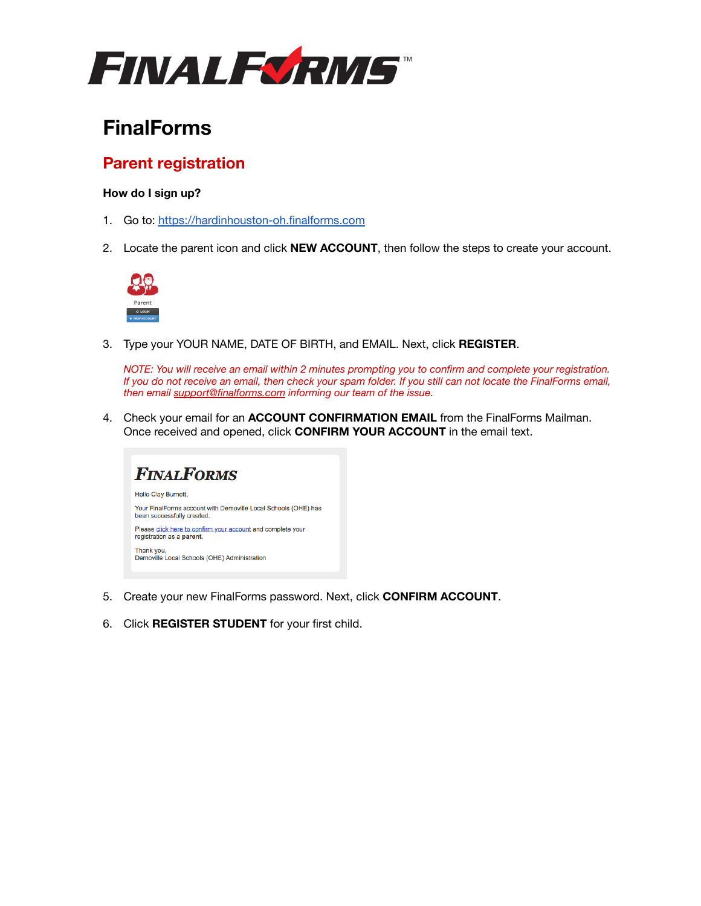

# **FinalForms**

## **Parent registration**

### **How do I sign up?**

- 1. Go to: <https://hardinhouston-oh.finalforms.com>
- 2. Locate the parent icon and click **NEW ACCOUNT**, then follow the steps to create your account.



3. Type your YOUR NAME, DATE OF BIRTH, and EMAIL. Next, click **REGISTER**.

*NOTE: You will receive an email within 2 minutes prompting you to confirm and complete your registration. If you do not receive an email, then check your spam folder. If you still can not locate the FinalForms email, then email [support@finalforms.com](mailto:support@finalforms.com) informing our team of the issue.*

4. Check your email for an **ACCOUNT CONFIRMATION EMAIL** from the FinalForms Mailman. Once received and opened, click **CONFIRM YOUR ACCOUNT** in the email text.



- 5. Create your new FinalForms password. Next, click **CONFIRM ACCOUNT**.
- 6. Click **REGISTER STUDENT** for your first child.